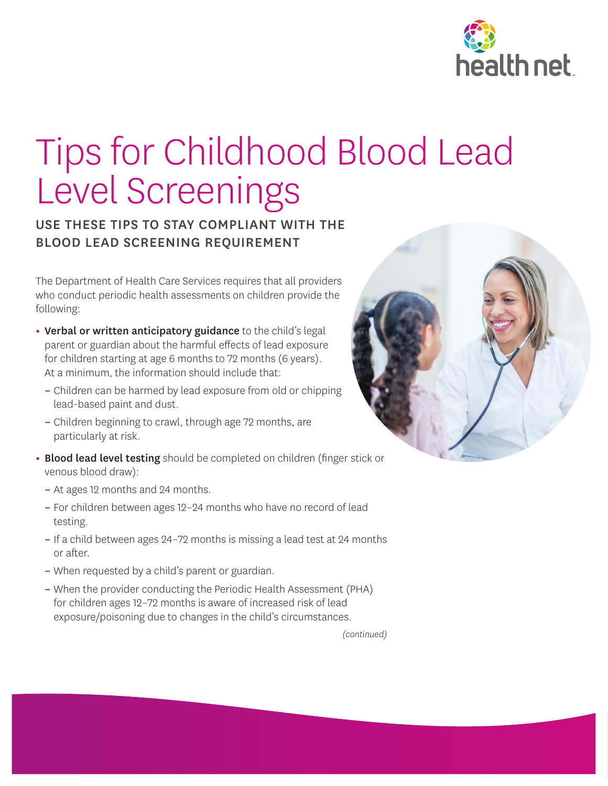

## Tips for Childhood Blood Lead Level Screenings

## USE THESE TIPS TO STAY COMPLIANT WITH THE BLOOD LEAD SCREENING REQUIREMENT

The Department of Health Care Services requires that all providers who conduct periodic health assessments on children provide the following:

- **•** Verbal or written anticipatory guidance to the child's legal parent or guardian about the harmful effects of lead exposure for children starting at age 6 months to 72 months (6 years). At a minimum, the information should include that:
	- **–** Children can be harmed by lead exposure from old or chipping lead-based paint and dust.
	- **–** Children beginning to crawl, through age 72 months, are particularly at risk.
- **•** Blood lead level testing should be completed on children (finger stick or venous blood draw):
	- **–** At ages 12 months and 24 months.
	- **–** For children between ages 12–24 months who have no record of lead testing.
	- **–** If a child between ages 24–72 months is missing a lead test at 24 months or after.
	- **–** When requested by a child's parent or guardian.
	- **–** When the provider conducting the Periodic Health Assessment (PHA) for children ages 12–72 months is aware of increased risk of lead exposure/poisoning due to changes in the child's circumstances.



*(continued)*